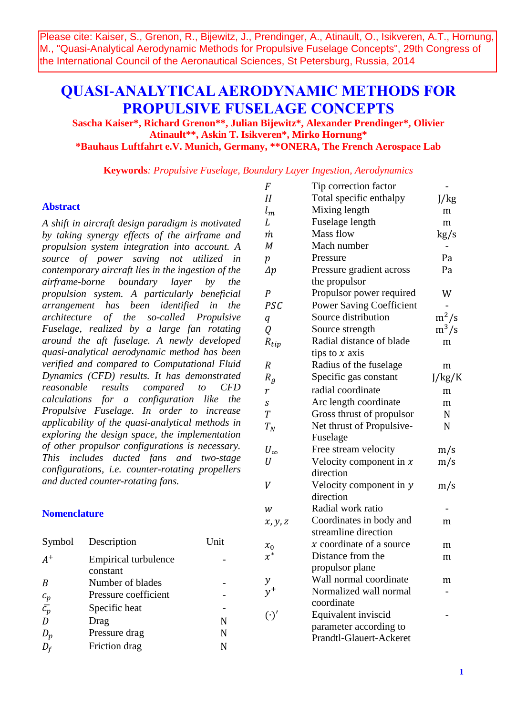Please cite: Kaiser, S., Grenon, R., Bijewitz, J., Prendinger, A., Atinault, O., Isikveren, A.T., Hornung, M., "Quasi-Analytical Aerodynamic Methods for Propulsive Fuselage Concepts", 29th Congress of the International Council of the Aeronautical Sciences, St Petersburg, Russia, 2014

# **QUASI-ANALYTICAL AERODYNAMIC METHODS FOR PROPULSIVE FUSELAGE CONCEPTS**

**Sascha Kaiser\*, Richard Grenon\*\*, Julian Bijewitz\*, Alexander Prendinger\*, Olivier Atinault\*\*, Askin T. Isikveren\*, Mirko Hornung\* \*Bauhaus Luftfahrt e.V. Munich, Germany, \*\*ONERA, The French Aerospace Lab**

**Keywords***: Propulsive Fuselage, Boundary Layer Ingestion, Aerodynamics*

## **Abstract**

*A shift in aircraft design paradigm is motivated by taking synergy effects of the airframe and propulsion system integration into account. A source of power saving not utilized in contemporary aircraft lies in the ingestion of the airframe-borne boundary layer by the propulsion system. A particularly beneficial arrangement has been identified in the architecture of the so-called Propulsive Fuselage, realized by a large fan rotating around the aft fuselage. A newly developed quasi-analytical aerodynamic method has been verified and compared to Computational Fluid Dynamics (CFD) results. It has demonstrated reasonable results compared to CFD calculations for a configuration like the Propulsive Fuselage. In order to increase applicability of the quasi-analytical methods in exploring the design space, the implementation of other propulsor configurations is necessary. This includes ducted fans and two-stage configurations, i.e. counter-rotating propellers and ducted counter-rotating fans.*

#### **Nomenclature**

| Symbol                  | Description                      | Unit |
|-------------------------|----------------------------------|------|
| $A^+$                   | Empirical turbulence<br>constant |      |
| B                       | Number of blades                 |      |
|                         | Pressure coefficient             |      |
| $\frac{c_p}{\bar{c_p}}$ | Specific heat                    |      |
| D                       | Drag                             | N    |
| $D_p$                   | Pressure drag                    | N    |
| $D_f$                   | Friction drag                    | N    |

| F                | Tip correction factor           |                           |
|------------------|---------------------------------|---------------------------|
| $H_{\rm}$        | Total specific enthalpy         | J/kg                      |
| $l_m$            | Mixing length                   | m                         |
| L                | Fuselage length                 | m                         |
| m                | Mass flow                       | kg/s                      |
| M                | Mach number                     |                           |
| $\boldsymbol{p}$ | Pressure                        | Pa                        |
| $\varDelta p$    | Pressure gradient across        | Pa                        |
|                  | the propulsor                   |                           |
| P                | Propulsor power required        | W                         |
| PSC              | <b>Power Saving Coefficient</b> |                           |
| q                | Source distribution             | $m^2/s$                   |
| Q                | Source strength                 | $\mathrm{m}^3/\mathrm{s}$ |
| $R_{tip}$        | Radial distance of blade        | m                         |
|                  | tips to $x$ axis                |                           |
| R                | Radius of the fuselage          | m                         |
| $R_{q}$          | Specific gas constant           | J/kg/K                    |
| $\boldsymbol{r}$ | radial coordinate               | m                         |
| S                | Arc length coordinate           | m                         |
| $\overline{T}$   | Gross thrust of propulsor       | N                         |
| $T_N$            | Net thrust of Propulsive-       | N                         |
|                  | Fuselage                        |                           |
| $U_{\infty}$     | Free stream velocity            | m/s                       |
| U                | Velocity component in $x$       | m/s                       |
|                  | direction                       |                           |
| V                | Velocity component in y         | m/s                       |
|                  | direction                       |                           |
| w                | Radial work ratio               |                           |
| x, y, z          | Coordinates in body and         | m                         |
|                  | streamline direction            |                           |
| $x_0$            | $x$ coordinate of a source      | m                         |
| $x^*$            | Distance from the               | m                         |
|                  | propulsor plane                 |                           |
|                  | Wall normal coordinate          | m                         |
| $y^+$            | Normalized wall normal          |                           |
|                  | coordinate                      |                           |
| $(\cdot)'$       | Equivalent inviscid             |                           |
|                  | parameter according to          |                           |
|                  | <b>Prandtl-Glauert-Ackeret</b>  |                           |
|                  |                                 |                           |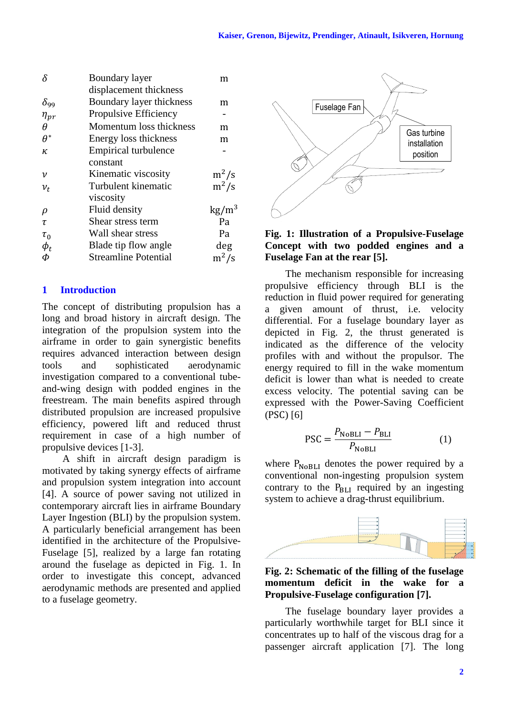| δ             | <b>Boundary layer</b>       | m               |
|---------------|-----------------------------|-----------------|
|               | displacement thickness      |                 |
| $\delta_{99}$ | Boundary layer thickness    | m               |
| $\eta_{pr}$   | Propulsive Efficiency       |                 |
| Ĥ             | Momentum loss thickness     | m               |
| $\theta^*$    | Energy loss thickness       | m               |
| ĸ             | <b>Empirical turbulence</b> |                 |
|               | constant                    |                 |
| ν             | Kinematic viscosity         | $m^2/s$         |
| $v_t$         | Turbulent kinematic         | $m^2/s$         |
|               | viscosity                   |                 |
| ρ             | Fluid density               | $\text{kg/m}^3$ |
| τ             | Shear stress term           | Pa              |
| $\tau_0$      | Wall shear stress           | Pa              |
| $\phi_t$      | Blade tip flow angle        | deg             |
| Ф             | <b>Streamline Potential</b> | $m^2/s$         |
|               |                             |                 |

#### **1 Introduction**

The concept of distributing propulsion has a long and broad history in aircraft design. The integration of the propulsion system into the airframe in order to gain synergistic benefits requires advanced interaction between design tools and sophisticated aerodynamic investigation compared to a conventional tubeand-wing design with podded engines in the freestream. The main benefits aspired through distributed propulsion are increased propulsive efficiency, powered lift and reduced thrust requirement in case of a high number of propulsive devices [1-3].

A shift in aircraft design paradigm is motivated by taking synergy effects of airframe and propulsion system integration into account [4]. A source of power saving not utilized in contemporary aircraft lies in airframe Boundary Layer Ingestion (BLI) by the propulsion system. A particularly beneficial arrangement has been identified in the architecture of the Propulsive-Fuselage [5], realized by a large fan rotating around the fuselage as depicted in [Fig. 1.](#page-1-0) In order to investigate this concept, advanced aerodynamic methods are presented and applied to a fuselage geometry.



# <span id="page-1-0"></span>**Fig. 1: Illustration of a Propulsive-Fuselage Concept with two podded engines and a Fuselage Fan at the rear [5].**

The mechanism responsible for increasing propulsive efficiency through BLI is the reduction in fluid power required for generating a given amount of thrust, i.e. velocity differential. For a fuselage boundary layer as depicted in [Fig. 2,](#page-1-1) the thrust generated is indicated as the difference of the velocity profiles with and without the propulsor. The energy required to fill in the wake momentum deficit is lower than what is needed to create excess velocity. The potential saving can be expressed with the Power-Saving Coefficient  $(PSC) [6]$ 

$$
PSC = \frac{P_{\text{NoBLI}} - P_{\text{BLI}}}{P_{\text{NoBLI}}} \tag{1}
$$

where  $P_{\text{NoBLI}}$  denotes the power required by a conventional non-ingesting propulsion system contrary to the  $P_{\text{BL}}$  required by an ingesting system to achieve a drag-thrust equilibrium.



<span id="page-1-1"></span>**Fig. 2: Schematic of the filling of the fuselage momentum deficit in the wake for a Propulsive-Fuselage configuration [7].**

The fuselage boundary layer provides a particularly worthwhile target for BLI since it concentrates up to half of the viscous drag for a passenger aircraft application [7]. The long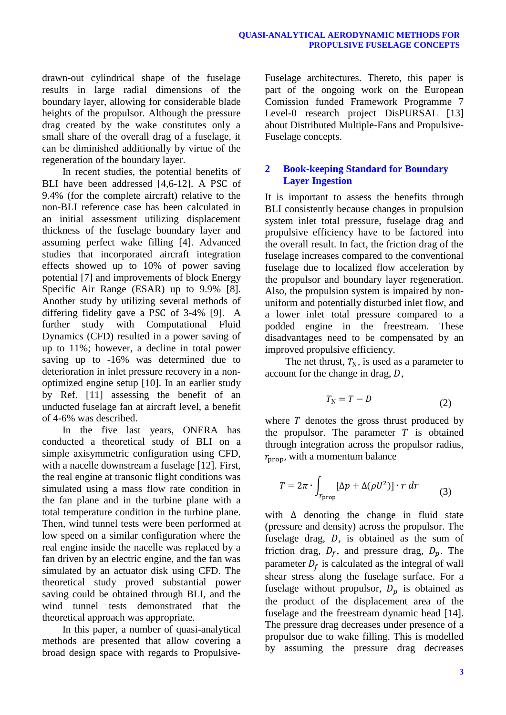drawn-out cylindrical shape of the fuselage results in large radial dimensions of the boundary layer, allowing for considerable blade heights of the propulsor. Although the pressure drag created by the wake constitutes only a small share of the overall drag of a fuselage, it can be diminished additionally by virtue of the regeneration of the boundary layer.

In recent studies, the potential benefits of BLI have been addressed  $[4,6-12]$ . A PSC of 9.4% (for the complete aircraft) relative to the non-BLI reference case has been calculated in an initial assessment utilizing displacement thickness of the fuselage boundary layer and assuming perfect wake filling [4]. Advanced studies that incorporated aircraft integration effects showed up to 10% of power saving potential [7] and improvements of block Energy Specific Air Range (ESAR) up to 9.9% [8]. Another study by utilizing several methods of differing fidelity gave a PSC of  $3-4\%$  [9]. A further study with Computational Fluid Dynamics (CFD) resulted in a power saving of up to 11%; however, a decline in total power saving up to -16% was determined due to deterioration in inlet pressure recovery in a nonoptimized engine setup [10]. In an earlier study by Ref. [11] assessing the benefit of an unducted fuselage fan at aircraft level, a benefit of 4-6% was described.

In the five last years, ONERA has conducted a theoretical study of BLI on a simple axisymmetric configuration using CFD, with a nacelle downstream a fuselage [12]. First, the real engine at transonic flight conditions was simulated using a mass flow rate condition in the fan plane and in the turbine plane with a total temperature condition in the turbine plane. Then, wind tunnel tests were been performed at low speed on a similar configuration where the real engine inside the nacelle was replaced by a fan driven by an electric engine, and the fan was simulated by an actuator disk using CFD. The theoretical study proved substantial power saving could be obtained through BLI, and the wind tunnel tests demonstrated that the theoretical approach was appropriate.

In this paper, a number of quasi-analytical methods are presented that allow covering a broad design space with regards to PropulsiveFuselage architectures. Thereto, this paper is part of the ongoing work on the European Comission funded Framework Programme 7 Level-0 research project DisPURSAL [13] about Distributed Multiple-Fans and Propulsive-Fuselage concepts.

# **2 Book-keeping Standard for Boundary Layer Ingestion**

It is important to assess the benefits through BLI consistently because changes in propulsion system inlet total pressure, fuselage drag and propulsive efficiency have to be factored into the overall result. In fact, the friction drag of the fuselage increases compared to the conventional fuselage due to localized flow acceleration by the propulsor and boundary layer regeneration. Also, the propulsion system is impaired by nonuniform and potentially disturbed inlet flow, and a lower inlet total pressure compared to a podded engine in the freestream. These disadvantages need to be compensated by an improved propulsive efficiency.

The net thrust,  $T_N$ , is used as a parameter to account for the change in drag,  $D$ ,

$$
T_{\rm N} = T - D \tag{2}
$$

where  $T$  denotes the gross thrust produced by the propulsor. The parameter  $T$  is obtained through integration across the propulsor radius,  $r_{\rm prop}$ , with a momentum balance

$$
T = 2\pi \cdot \int_{r_{\text{prop}}} [\Delta p + \Delta (\rho U^2)] \cdot r \, dr \tag{3}
$$

with  $\Delta$  denoting the change in fluid state (pressure and density) across the propulsor. The fuselage drag,  $D$ , is obtained as the sum of friction drag,  $D_f$ , and pressure drag,  $D_p$ . The parameter  $D_f$  is calculated as the integral of wall shear stress along the fuselage surface. For a fuselage without propulsor,  $D_p$  is obtained as the product of the displacement area of the fuselage and the freestream dynamic head [14]. The pressure drag decreases under presence of a propulsor due to wake filling. This is modelled by assuming the pressure drag decreases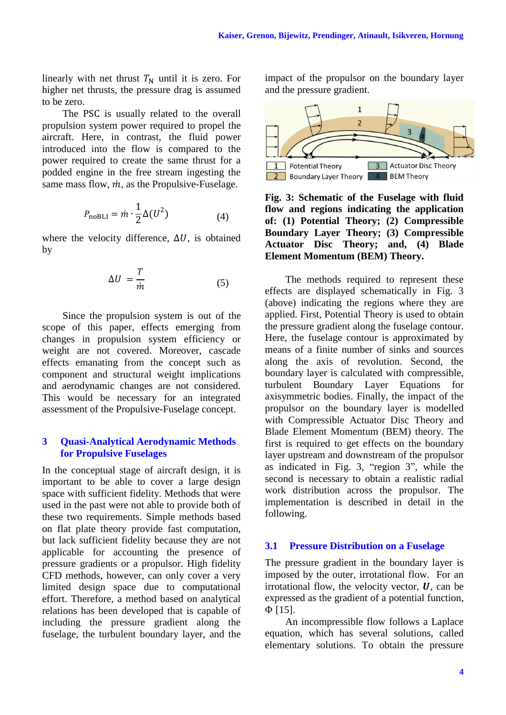linearly with net thrust  $T_N$  until it is zero. For higher net thrusts, the pressure drag is assumed to be zero.

The PSC is usually related to the overall propulsion system power required to propel the aircraft. Here, in contrast, the fluid power introduced into the flow is compared to the power required to create the same thrust for a podded engine in the free stream ingesting the same mass flow,  $\dot{m}$ , as the Propulsive-Fuselage.

$$
P_{\text{noBLI}} = \dot{m} \cdot \frac{1}{2} \Delta(U^2) \tag{4}
$$

where the velocity difference,  $\Delta U$ , is obtained by

$$
\Delta U = \frac{T}{\dot{m}} \tag{5}
$$

Since the propulsion system is out of the scope of this paper, effects emerging from changes in propulsion system efficiency or weight are not covered. Moreover, cascade effects emanating from the concept such as component and structural weight implications and aerodynamic changes are not considered. This would be necessary for an integrated assessment of the Propulsive-Fuselage concept.

# **3 Quasi-Analytical Aerodynamic Methods for Propulsive Fuselages**

In the conceptual stage of aircraft design, it is important to be able to cover a large design space with sufficient fidelity. Methods that were used in the past were not able to provide both of these two requirements. Simple methods based on flat plate theory provide fast computation, but lack sufficient fidelity because they are not applicable for accounting the presence of pressure gradients or a propulsor. High fidelity CFD methods, however, can only cover a very limited design space due to computational effort. Therefore, a method based on analytical relations has been developed that is capable of including the pressure gradient along the fuselage, the turbulent boundary layer, and the impact of the propulsor on the boundary layer and the pressure gradient.



<span id="page-3-0"></span>**Fig. 3: Schematic of the Fuselage with fluid flow and regions indicating the application of: (1) Potential Theory; (2) Compressible Boundary Layer Theory; (3) Compressible Actuator Disc Theory; and, (4) Blade Element Momentum (BEM) Theory.**

The methods required to represent these effects are displayed schematically in [Fig. 3](#page-3-0) (above) indicating the regions where they are applied. First, Potential Theory is used to obtain the pressure gradient along the fuselage contour. Here, the fuselage contour is approximated by means of a finite number of sinks and sources along the axis of revolution. Second, the boundary layer is calculated with compressible, turbulent Boundary Layer Equations for axisymmetric bodies. Finally, the impact of the propulsor on the boundary layer is modelled with Compressible Actuator Disc Theory and Blade Element Momentum (BEM) theory. The first is required to get effects on the boundary layer upstream and downstream of the propulsor as indicated in [Fig. 3,](#page-3-0) "region 3", while the second is necessary to obtain a realistic radial work distribution across the propulsor. The implementation is described in detail in the following.

# **3.1 Pressure Distribution on a Fuselage**

The pressure gradient in the boundary layer is imposed by the outer, irrotational flow. For an irrotational flow, the velocity vector,  $U$ , can be expressed as the gradient of a potential function,  $\Phi$  [15].

An incompressible flow follows a Laplace equation, which has several solutions, called elementary solutions. To obtain the pressure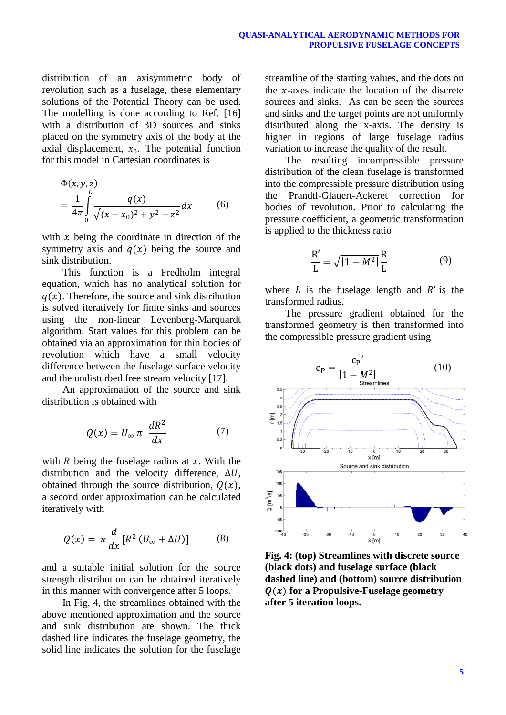distribution of an axisymmetric body of revolution such as a fuselage, these elementary solutions of the Potential Theory can be used. The modelling is done according to Ref. [16] with a distribution of 3D sources and sinks placed on the symmetry axis of the body at the axial displacement,  $x_0$ . The potential function for this model in Cartesian coordinates is

$$
\Phi(x, y, z) = \frac{1}{4\pi} \int_{0}^{L} \frac{q(x)}{\sqrt{(x - x_0)^2 + y^2 + z^2}} dx
$$
 (6)

with  $x$  being the coordinate in direction of the symmetry axis and  $q(x)$  being the source and sink distribution.

This function is a Fredholm integral equation, which has no analytical solution for  $q(x)$ . Therefore, the source and sink distribution is solved iteratively for finite sinks and sources using the non-linear Levenberg-Marquardt algorithm. Start values for this problem can be obtained via an approximation for thin bodies of revolution which have a small velocity difference between the fuselage surface velocity and the undisturbed free stream velocity [17].

An approximation of the source and sink distribution is obtained with

$$
Q(x) = U_{\infty} \pi \frac{dR^2}{dx} \tag{7}
$$

with R being the fuselage radius at  $x$ . With the distribution and the velocity difference,  $\Delta U$ , obtained through the source distribution,  $Q(x)$ , a second order approximation can be calculated iteratively with

$$
Q(x) = \pi \frac{d}{dx} [R^2 (U_{\infty} + \Delta U)] \tag{8}
$$

and a suitable initial solution for the source strength distribution can be obtained iteratively in this manner with convergence after 5 loops.

In [Fig.](#page-4-0) 4, the streamlines obtained with the above mentioned approximation and the source and sink distribution are shown. The thick dashed line indicates the fuselage geometry, the solid line indicates the solution for the fuselage streamline of the starting values, and the dots on the  $x$ -axes indicate the location of the discrete sources and sinks. As can be seen the sources and sinks and the target points are not uniformly distributed along the x-axis. The density is higher in regions of large fuselage radius variation to increase the quality of the result.

The resulting incompressible pressure distribution of the clean fuselage is transformed into the compressible pressure distribution using the Prandtl-Glauert-Ackeret correction for bodies of revolution. Prior to calculating the pressure coefficient, a geometric transformation is applied to the thickness ratio

$$
\frac{R'}{L} = \sqrt{|1 - M^2|} \frac{R}{L}
$$
 (9)

where  $L$  is the fuselage length and  $R'$  is the transformed radius.

The pressure gradient obtained for the transformed geometry is then transformed into the compressible pressure gradient using



<span id="page-4-0"></span>**Fig. 4: (top) Streamlines with discrete source (black dots) and fuselage surface (black dashed line) and (bottom) source distribution**   $f(x)$  for a Propulsive-Fuselage geometry **after 5 iteration loops.**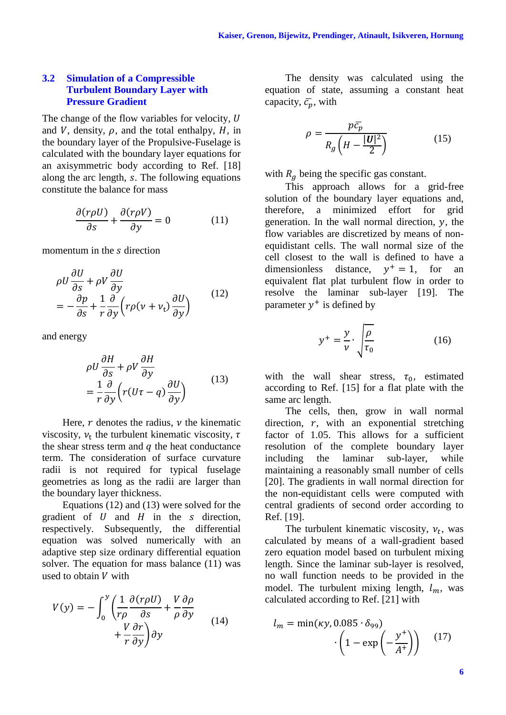## **3.2 Simulation of a Compressible Turbulent Boundary Layer with Pressure Gradient**

The change of the flow variables for velocity, U and V, density,  $\rho$ , and the total enthalpy,  $H$ , in the boundary layer of the Propulsive-Fuselage is calculated with the boundary layer equations for an axisymmetric body according to Ref. [18] along the arc length, s. The following equations constitute the balance for mass

$$
\frac{\partial (r\rho U)}{\partial s} + \frac{\partial (r\rho V)}{\partial y} = 0 \tag{11}
$$

momentum in the s direction

$$
\rho U \frac{\partial U}{\partial s} + \rho V \frac{\partial U}{\partial y} \n= -\frac{\partial p}{\partial s} + \frac{1}{r} \frac{\partial}{\partial y} \left( r \rho (v + v_{\rm t}) \frac{\partial U}{\partial y} \right)
$$
\n(12)

and energy

$$
\rho U \frac{\partial H}{\partial s} + \rho V \frac{\partial H}{\partial y} \n= \frac{1}{r} \frac{\partial}{\partial y} \left( r(U\tau - q) \frac{\partial U}{\partial y} \right)
$$
\n(13)

Here,  $r$  denotes the radius,  $\nu$  the kinematic viscosity,  $v_t$  the turbulent kinematic viscosity, the shear stress term and  $q$  the heat conductance term. The consideration of surface curvature radii is not required for typical fuselage geometries as long as the radii are larger than the boundary layer thickness.

Equations (12) and (13) were solved for the gradient of  $U$  and  $H$  in the s direction, respectively. Subsequently, the differential equation was solved numerically with an adaptive step size ordinary differential equation solver. The equation for mass balance (11) was used to obtain  $V$  with

$$
V(y) = -\int_0^y \left(\frac{1}{r\rho} \frac{\partial (r\rho U)}{\partial s} + \frac{V}{\rho} \frac{\partial \rho}{\partial y} + \frac{V}{r} \frac{\partial r}{\partial y}\right) \partial y \tag{14}
$$

The density was calculated using the equation of state, assuming a constant heat capacity,  $\bar{c}_p$ , with

$$
\rho = \frac{p\bar{c}_p}{R_g\left(H - \frac{|\mathbf{U}|^2}{2}\right)}\tag{15}
$$

with  $R_q$  being the specific gas constant.

This approach allows for a grid-free solution of the boundary layer equations and, therefore, a minimized effort for grid generation. In the wall normal direction,  $\nu$ , the flow variables are discretized by means of nonequidistant cells. The wall normal size of the cell closest to the wall is defined to have a dimensionless distance,  $y^+ = 1$ , for an equivalent flat plat turbulent flow in order to resolve the laminar sub-layer [19]. The parameter  $y^+$  is defined by

$$
y^{+} = \frac{y}{v} \cdot \sqrt{\frac{\rho}{\tau_0}}
$$
 (16)

with the wall shear stress,  $\tau_0$ , estimated according to Ref. [15] for a flat plate with the same arc length.

The cells, then, grow in wall normal direction,  $r$ , with an exponential stretching factor of 1.05. This allows for a sufficient resolution of the complete boundary layer including the laminar sub-layer, while maintaining a reasonably small number of cells [20]. The gradients in wall normal direction for the non-equidistant cells were computed with central gradients of second order according to Ref. [19].

The turbulent kinematic viscosity,  $v_t$ , was calculated by means of a wall-gradient based zero equation model based on turbulent mixing length. Since the laminar sub-layer is resolved, no wall function needs to be provided in the model. The turbulent mixing length,  $l_m$ , was calculated according to Ref. [21] with

$$
l_m = \min(\kappa y, 0.085 \cdot \delta_{99})
$$

$$
\cdot \left(1 - \exp\left(-\frac{y^+}{A^+}\right)\right) \quad (17)
$$

**6**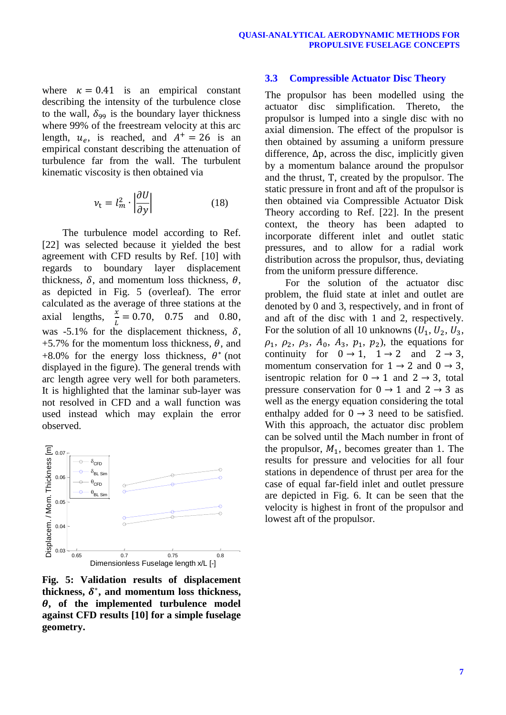where  $\kappa = 0.41$  is an empirical constant describing the intensity of the turbulence close to the wall,  $\delta_{99}$  is the boundary layer thickness where 99% of the freestream velocity at this arc length,  $u_e$ , is reached, and  $A^+ = 26$  is an empirical constant describing the attenuation of turbulence far from the wall. The turbulent kinematic viscosity is then obtained via

$$
\nu_{\rm t} = l_m^2 \cdot \left| \frac{\partial U}{\partial y} \right| \tag{18}
$$

The turbulence model according to Ref. [22] was selected because it yielded the best agreement with CFD results by Ref. [10] with regards to boundary layer displacement thickness,  $\delta$ , and momentum loss thickness,  $\theta$ , as depicted in [Fig. 5](#page-6-0) (overleaf). The error calculated as the average of three stations at the axial lengths,  $\frac{x}{l}$  $\frac{x}{L} = 0.70$ , 0.75 and 0.80, was -5.1% for the displacement thickness,  $\delta$ , +5.7% for the momentum loss thickness,  $\theta$ , and +8.0% for the energy loss thickness,  $\theta^*$  (not displayed in the figure). The general trends with arc length agree very well for both parameters. It is highlighted that the laminar sub-layer was not resolved in CFD and a wall function was used instead which may explain the error observed.



<span id="page-6-0"></span>**Fig. 5: Validation results of displacement**  thickness,  $\delta^*$ , and momentum loss thickness, **, of the implemented turbulence model against CFD results [10] for a simple fuselage geometry.**

#### **3.3 Compressible Actuator Disc Theory**

The propulsor has been modelled using the actuator disc simplification. Thereto, the propulsor is lumped into a single disc with no axial dimension. The effect of the propulsor is then obtained by assuming a uniform pressure difference,  $\Delta p$ , across the disc, implicitly given by a momentum balance around the propulsor and the thrust, T, created by the propulsor. The static pressure in front and aft of the propulsor is then obtained via Compressible Actuator Disk Theory according to Ref. [22]. In the present context, the theory has been adapted to incorporate different inlet and outlet static pressures, and to allow for a radial work distribution across the propulsor, thus, deviating from the uniform pressure difference.

For the solution of the actuator disc problem, the fluid state at inlet and outlet are denoted by 0 and 3, respectively, and in front of and aft of the disc with 1 and 2, respectively. For the solution of all 10 unknowns  $(U_1, U_2, U_3,$  $\rho_1$ ,  $\rho_2$ ,  $\rho_3$ ,  $A_0$ ,  $A_3$ ,  $p_1$ ,  $p_2$ ), the equations for continuity for  $0 \rightarrow 1$ ,  $1 \rightarrow 2$  and  $2 \rightarrow 3$ , momentum conservation for  $1 \rightarrow 2$  and  $0 \rightarrow 3$ , is entropic relation for  $0 \rightarrow 1$  and  $2 \rightarrow 3$ , total pressure conservation for  $0 \rightarrow 1$  and  $2 \rightarrow 3$  as well as the energy equation considering the total enthalpy added for  $0 \rightarrow 3$  need to be satisfied. With this approach, the actuator disc problem can be solved until the Mach number in front of the propulsor,  $M_1$ , becomes greater than 1. The results for pressure and velocities for all four stations in dependence of thrust per area for the case of equal far-field inlet and outlet pressure are depicted in [Fig. 6.](#page-7-0) It can be seen that the velocity is highest in front of the propulsor and lowest aft of the propulsor.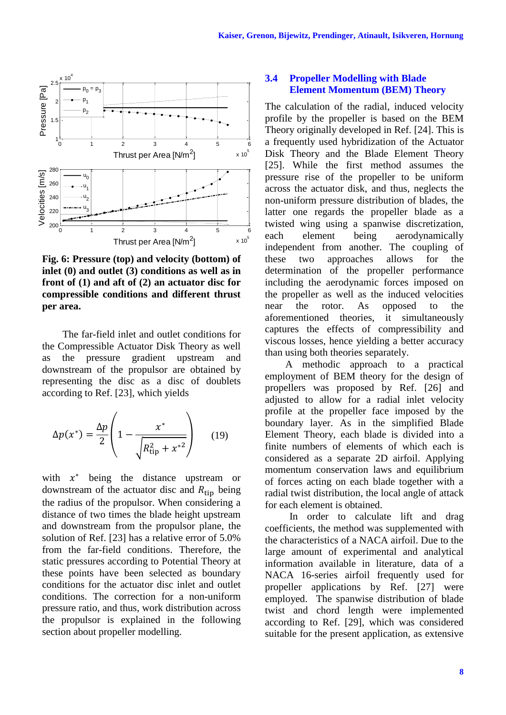

<span id="page-7-0"></span>**Fig. 6: Pressure (top) and velocity (bottom) of inlet (0) and outlet (3) conditions as well as in front of (1) and aft of (2) an actuator disc for compressible conditions and different thrust per area.**

The far-field inlet and outlet conditions for the Compressible Actuator Disk Theory as well as the pressure gradient upstream and downstream of the propulsor are obtained by representing the disc as a disc of doublets according to Ref. [23], which yields

$$
\Delta p(x^*) = \frac{\Delta p}{2} \left( 1 - \frac{x^*}{\sqrt{R_{\text{tip}}^2 + x^{*2}}} \right) \tag{19}
$$

with  $x^*$  being the distance upstream or downstream of the actuator disc and  $R_{\text{tin}}$  being the radius of the propulsor. When considering a distance of two times the blade height upstream and downstream from the propulsor plane, the solution of Ref. [23] has a relative error of 5.0% from the far-field conditions. Therefore, the static pressures according to Potential Theory at these points have been selected as boundary conditions for the actuator disc inlet and outlet conditions. The correction for a non-uniform pressure ratio, and thus, work distribution across the propulsor is explained in the following section about propeller modelling.

# **3.4 Propeller Modelling with Blade Element Momentum (BEM) Theory**

The calculation of the radial, induced velocity profile by the propeller is based on the BEM Theory originally developed in Ref. [24]. This is a frequently used hybridization of the Actuator Disk Theory and the Blade Element Theory [25]. While the first method assumes the pressure rise of the propeller to be uniform across the actuator disk, and thus, neglects the non-uniform pressure distribution of blades, the latter one regards the propeller blade as a twisted wing using a spanwise discretization, each element being aerodynamically independent from another. The coupling of these two approaches allows for the determination of the propeller performance including the aerodynamic forces imposed on the propeller as well as the induced velocities near the rotor. As opposed to the aforementioned theories, it simultaneously captures the effects of compressibility and viscous losses, hence yielding a better accuracy than using both theories separately.

A methodic approach to a practical employment of BEM theory for the design of propellers was proposed by Ref. [26] and adjusted to allow for a radial inlet velocity profile at the propeller face imposed by the boundary layer. As in the simplified Blade Element Theory, each blade is divided into a finite numbers of elements of which each is considered as a separate 2D airfoil. Applying momentum conservation laws and equilibrium of forces acting on each blade together with a radial twist distribution, the local angle of attack for each element is obtained.

In order to calculate lift and drag coefficients, the method was supplemented with the characteristics of a NACA airfoil. Due to the large amount of experimental and analytical information available in literature, data of a NACA 16-series airfoil frequently used for propeller applications by Ref. [27] were employed. The spanwise distribution of blade twist and chord length were implemented according to Ref. [29], which was considered suitable for the present application, as extensive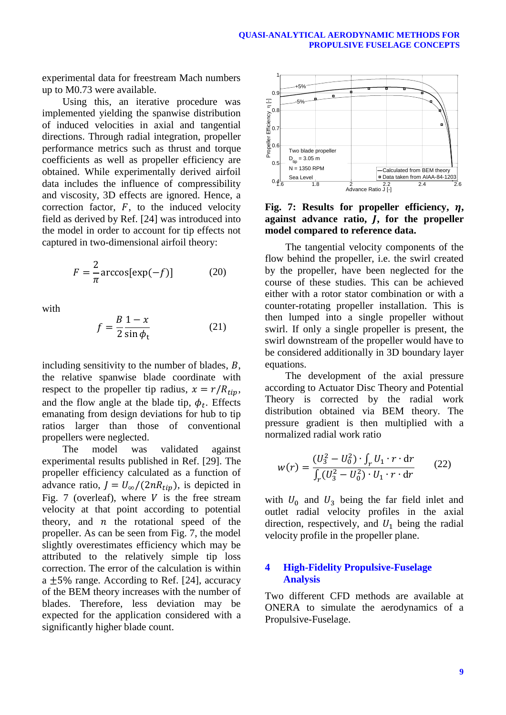experimental data for freestream Mach numbers up to M0.73 were available.

Using this, an iterative procedure was implemented yielding the spanwise distribution of induced velocities in axial and tangential directions. Through radial integration, propeller performance metrics such as thrust and torque coefficients as well as propeller efficiency are obtained. While experimentally derived airfoil data includes the influence of compressibility and viscosity, 3D effects are ignored. Hence, a correction factor,  $F$ , to the induced velocity field as derived by Ref. [24] was introduced into the model in order to account for tip effects not captured in two-dimensional airfoil theory:

$$
F = \frac{2}{\pi} \arccos[\exp(-f)] \tag{20}
$$

with

$$
f = \frac{B}{2} \frac{1 - x}{\sin \phi_t} \tag{21}
$$

including sensitivity to the number of blades,  $B$ , the relative spanwise blade coordinate with respect to the propeller tip radius,  $x = r/R_{tin}$ , and the flow angle at the blade tip,  $\phi_t$ . Effects emanating from design deviations for hub to tip ratios larger than those of conventional propellers were neglected.

The model was validated against experimental results published in Ref. [29]. The propeller efficiency calculated as a function of advance ratio,  $J = U_{\infty}/(2nR_{tip})$ , is depicted in [Fig. 7](#page-8-0) (overleaf), where  $V$  is the free stream velocity at that point according to potential theory, and  $n$  the rotational speed of the propeller. As can be seen from [Fig. 7,](#page-8-0) the model slightly overestimates efficiency which may be attributed to the relatively simple tip loss correction. The error of the calculation is within a  $\pm$ 5% range. According to Ref. [24], accuracy of the BEM theory increases with the number of blades. Therefore, less deviation may be expected for the application considered with a significantly higher blade count.



<span id="page-8-0"></span>Fig. 7: Results for propeller efficiency,  $\eta$ , **against advance ratio, , for the propeller model compared to reference data.**

The tangential velocity components of the flow behind the propeller, i.e. the swirl created by the propeller, have been neglected for the course of these studies. This can be achieved either with a rotor stator combination or with a counter-rotating propeller installation. This is then lumped into a single propeller without swirl. If only a single propeller is present, the swirl downstream of the propeller would have to be considered additionally in 3D boundary layer equations.

The development of the axial pressure according to Actuator Disc Theory and Potential Theory is corrected by the radial work distribution obtained via BEM theory. The pressure gradient is then multiplied with a normalized radial work ratio

$$
w(r) = \frac{(U_3^2 - U_0^2) \cdot \int_r U_1 \cdot r \cdot dr}{\int_r (U_3^2 - U_0^2) \cdot U_1 \cdot r \cdot dr}
$$
 (22)

with  $U_0$  and  $U_3$  being the far field inlet and outlet radial velocity profiles in the axial direction, respectively, and  $U_1$  being the radial velocity profile in the propeller plane.

#### **4 High-Fidelity Propulsive-Fuselage Analysis**

Two different CFD methods are available at ONERA to simulate the aerodynamics of a Propulsive-Fuselage.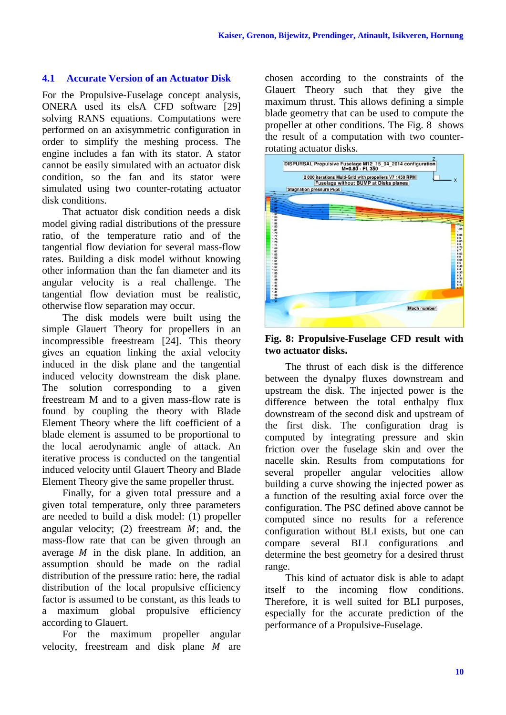# **4.1 Accurate Version of an Actuator Disk**

For the Propulsive-Fuselage concept analysis, ONERA used its elsA CFD software [29] solving RANS equations. Computations were performed on an axisymmetric configuration in order to simplify the meshing process. The engine includes a fan with its stator. A stator cannot be easily simulated with an actuator disk condition, so the fan and its stator were simulated using two counter-rotating actuator disk conditions.

That actuator disk condition needs a disk model giving radial distributions of the pressure ratio, of the temperature ratio and of the tangential flow deviation for several mass-flow rates. Building a disk model without knowing other information than the fan diameter and its angular velocity is a real challenge. The tangential flow deviation must be realistic, otherwise flow separation may occur.

The disk models were built using the simple Glauert Theory for propellers in an incompressible freestream [24]. This theory gives an equation linking the axial velocity induced in the disk plane and the tangential induced velocity downstream the disk plane. The solution corresponding to a given freestream M and to a given mass-flow rate is found by coupling the theory with Blade Element Theory where the lift coefficient of a blade element is assumed to be proportional to the local aerodynamic angle of attack. An iterative process is conducted on the tangential induced velocity until Glauert Theory and Blade Element Theory give the same propeller thrust.

Finally, for a given total pressure and a given total temperature, only three parameters are needed to build a disk model: (1) propeller angular velocity; (2) freestream  $M$ ; and, the mass-flow rate that can be given through an average  $M$  in the disk plane. In addition, an assumption should be made on the radial distribution of the pressure ratio: here, the radial distribution of the local propulsive efficiency factor is assumed to be constant, as this leads to a maximum global propulsive efficiency according to Glauert.

For the maximum propeller angular velocity, freestream and disk plane  $M$  are chosen according to the constraints of the Glauert Theory such that they give the maximum thrust. This allows defining a simple blade geometry that can be used to compute the propeller at other conditions. The [Fig. 8](#page-9-0) shows the result of a computation with two counterrotating actuator disks.



<span id="page-9-0"></span>**Fig. 8: Propulsive-Fuselage CFD result with two actuator disks.**

The thrust of each disk is the difference between the dynalpy fluxes downstream and upstream the disk. The injected power is the difference between the total enthalpy flux downstream of the second disk and upstream of the first disk. The configuration drag is computed by integrating pressure and skin friction over the fuselage skin and over the nacelle skin. Results from computations for several propeller angular velocities allow building a curve showing the injected power as a function of the resulting axial force over the configuration. The PSC defined above cannot be computed since no results for a reference configuration without BLI exists, but one can compare several BLI configurations and determine the best geometry for a desired thrust range.

This kind of actuator disk is able to adapt itself to the incoming flow conditions. Therefore, it is well suited for BLI purposes, especially for the accurate prediction of the performance of a Propulsive-Fuselage.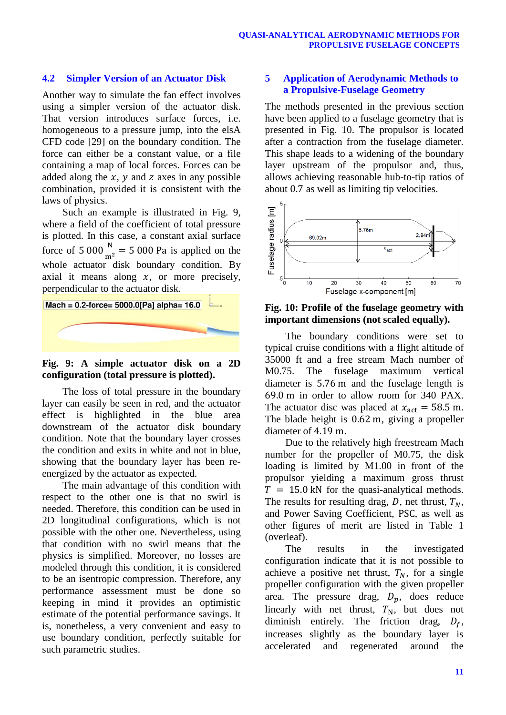# **4.2 Simpler Version of an Actuator Disk**

Another way to simulate the fan effect involves using a simpler version of the actuator disk. That version introduces surface forces, i.e. homogeneous to a pressure jump, into the elsA CFD code [29] on the boundary condition. The force can either be a constant value, or a file containing a map of local forces. Forces can be added along the  $x$ ,  $y$  and  $z$  axes in any possible combination, provided it is consistent with the laws of physics.

Such an example is illustrated in [Fig. 9,](#page-10-0) where a field of the coefficient of total pressure is plotted. In this case, a constant axial surface force of  $5000 \frac{N}{m^2} = 5000$  Pa is applied on the whole actuator disk boundary condition. By axial it means along  $x$ , or more precisely, perpendicular to the actuator disk.



## <span id="page-10-0"></span>**Fig. 9: A simple actuator disk on a 2D configuration (total pressure is plotted).**

The loss of total pressure in the boundary layer can easily be seen in red, and the actuator effect is highlighted in the blue area downstream of the actuator disk boundary condition. Note that the boundary layer crosses the condition and exits in white and not in blue, showing that the boundary layer has been reenergized by the actuator as expected.

The main advantage of this condition with respect to the other one is that no swirl is needed. Therefore, this condition can be used in 2D longitudinal configurations, which is not possible with the other one. Nevertheless, using that condition with no swirl means that the physics is simplified. Moreover, no losses are modeled through this condition, it is considered to be an isentropic compression. Therefore, any performance assessment must be done so keeping in mind it provides an optimistic estimate of the potential performance savings. It is, nonetheless, a very convenient and easy to use boundary condition, perfectly suitable for such parametric studies.

# **5 Application of Aerodynamic Methods to a Propulsive-Fuselage Geometry**

The methods presented in the previous section have been applied to a fuselage geometry that is presented in [Fig. 10.](#page-10-1) The propulsor is located after a contraction from the fuselage diameter. This shape leads to a widening of the boundary layer upstream of the propulsor and, thus, allows achieving reasonable hub-to-tip ratios of about 0.7 as well as limiting tip velocities.



# <span id="page-10-1"></span>**Fig. 10: Profile of the fuselage geometry with important dimensions (not scaled equally).**

The boundary conditions were set to typical cruise conditions with a flight altitude of 35000 ft and a free stream Mach number of M0.75. The fuselage maximum vertical diameter is  $5.76$  m and the fuselage length is 69.0 m in order to allow room for 340 PAX. The actuator disc was placed at  $x_{\text{act}} = 58.5 \text{ m}$ . The blade height is  $0.62$  m, giving a propeller diameter of 4.19 m.

Due to the relatively high freestream Mach number for the propeller of M0.75, the disk loading is limited by M1.00 in front of the propulsor yielding a maximum gross thrust  $T = 15.0$  kN for the quasi-analytical methods. The results for resulting drag, D, net thrust,  $T_N$ , and Power Saving Coefficient, PSC, as well as other figures of merit are listed in [Table 1](#page-11-0) (overleaf).

The results in the investigated configuration indicate that it is not possible to achieve a positive net thrust,  $T_N$ , for a single propeller configuration with the given propeller area. The pressure drag,  $D_p$ , does reduce linearly with net thrust,  $T_N$ , but does not diminish entirely. The friction drag,  $D_f$ , increases slightly as the boundary layer is accelerated and regenerated around the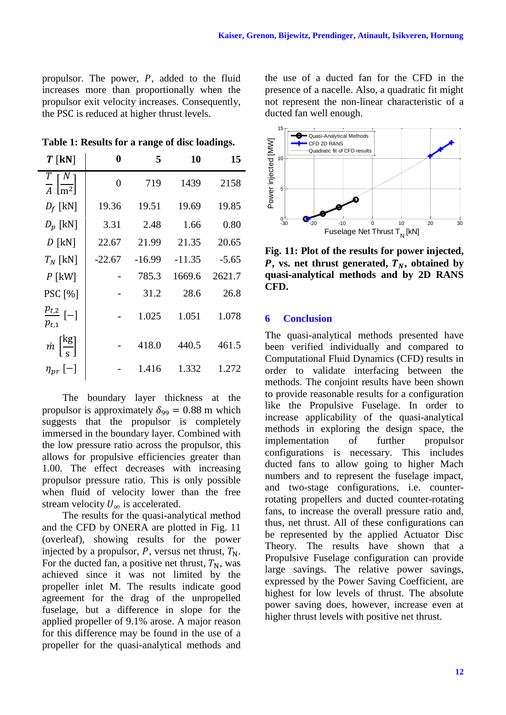propulsor. The power,  $P$ , added to the fluid increases more than proportionally when the propulsor exit velocity increases. Consequently, the PSC is reduced at higher thrust levels.

<span id="page-11-0"></span>**Table 1: Results for a range of disc loadings.**

| $T$ [kN]                                            | 0              | 5        | 10       | 15      |
|-----------------------------------------------------|----------------|----------|----------|---------|
| $rac{T}{A}$ $\left[\frac{N}{m^2}\right]$            | $\overline{0}$ | 719      | 1439     | 2158    |
| $D_f$ [kN]                                          | 19.36          | 19.51    | 19.69    | 19.85   |
| $D_p$ [kN]                                          | 3.31           | 2.48     | 1.66     | 0.80    |
| $D$ [kN]                                            | 22.67          | 21.99    | 21.35    | 20.65   |
| $T_N$ [kN]                                          | $-22.67$       | $-16.99$ | $-11.35$ | $-5.65$ |
| $P$ [kW]                                            |                | 785.3    | 1669.6   | 2621.7  |
| <b>PSC</b> [%]                                      |                | 31.2     | 28.6     | 26.8    |
| $\frac{p_{t,2}}{ }[-]$<br>$p_{t,1}$                 |                | 1.025    | 1.051    | 1.078   |
| $\dot{m}$ $\left[\frac{\text{kg}}{\text{s}}\right]$ |                | 418.0    | 440.5    | 461.5   |
| $\eta_{pr}$ [-]                                     |                | 1.416    | 1.332    | 1.272   |

The boundary layer thickness at the propulsor is approximately  $\delta_{99} = 0.88$  m which suggests that the propulsor is completely immersed in the boundary layer. Combined with the low pressure ratio across the propulsor, this allows for propulsive efficiencies greater than 1.00. The effect decreases with increasing propulsor pressure ratio. This is only possible when fluid of velocity lower than the free stream velocity  $U_{\infty}$  is accelerated.

The results for the quasi-analytical method and the CFD by ONERA are plotted in [Fig. 11](#page-11-1) (overleaf), showing results for the power injected by a propulsor, P, versus net thrust,  $T_N$ . For the ducted fan, a positive net thrust,  $T_N$ , was achieved since it was not limited by the propeller inlet M. The results indicate good agreement for the drag of the unpropelled fuselage, but a difference in slope for the applied propeller of 9.1% arose. A major reason for this difference may be found in the use of a propeller for the quasi-analytical methods and

the use of a ducted fan for the CFD in the presence of a nacelle. Also, a quadratic fit might not represent the non-linear characteristic of a ducted fan well enough.



<span id="page-11-1"></span>**Fig. 11: Plot of the results for power injected,**  $P$ , vs. net thrust generated,  $T_N$ , obtained by **quasi-analytical methods and by 2D RANS CFD.**

# **6 Conclusion**

The quasi-analytical methods presented have been verified individually and compared to Computational Fluid Dynamics (CFD) results in order to validate interfacing between the methods. The conjoint results have been shown to provide reasonable results for a configuration like the Propulsive Fuselage. In order to increase applicability of the quasi-analytical methods in exploring the design space, the implementation of further propulsor configurations is necessary. This includes ducted fans to allow going to higher Mach numbers and to represent the fuselage impact, and two-stage configurations, i.e. counterrotating propellers and ducted counter-rotating fans, to increase the overall pressure ratio and, thus, net thrust. All of these configurations can be represented by the applied Actuator Disc Theory. The results have shown that a Propulsive Fuselage configuration can provide large savings. The relative power savings, expressed by the Power Saving Coefficient, are highest for low levels of thrust. The absolute power saving does, however, increase even at higher thrust levels with positive net thrust.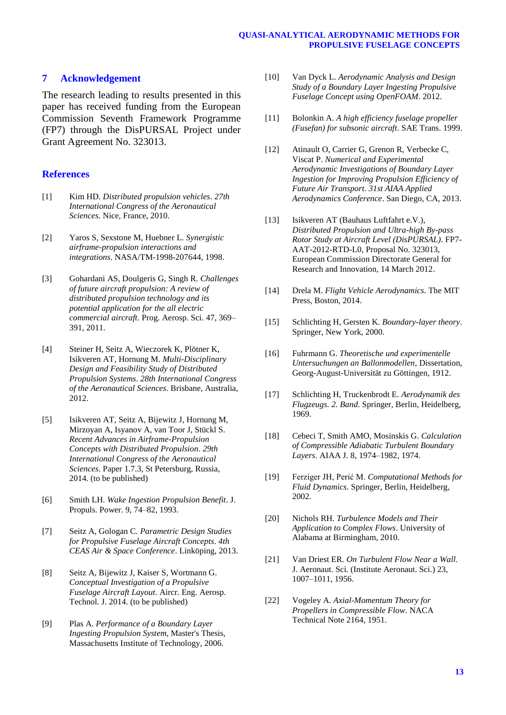## **7 Acknowledgement**

The research leading to results presented in this paper has received funding from the European Commission Seventh Framework Programme (FP7) through the DisPURSAL Project under Grant Agreement No. 323013.

## **References**

- [1] Kim HD. *Distributed propulsion vehicles*. *27th International Congress of the Aeronautical Sciences*. Nice, France, 2010.
- [2] Yaros S, Sexstone M, Huebner L. *Synergistic airframe-propulsion interactions and integrations*. NASA/TM-1998-207644, 1998.
- [3] Gohardani AS, Doulgeris G, Singh R. *Challenges of future aircraft propulsion: A review of distributed propulsion technology and its potential application for the all electric commercial aircraft*. Prog. Aerosp. Sci. 47, 369– 391, 2011.
- [4] Steiner H, Seitz A, Wieczorek K, Plötner K, Isikveren AT, Hornung M. *Multi-Disciplinary Design and Feasibility Study of Distributed Propulsion Systems*. *28th International Congress of the Aeronautical Sciences*. Brisbane, Australia, 2012.
- [5] Isikveren AT, Seitz A, Bijewitz J, Hornung M, Mirzoyan A, Isyanov A, van Toor J, Stückl S. *Recent Advances in Airframe-Propulsion Concepts with Distributed Propulsion*. *29th International Congress of the Aeronautical Sciences*. Paper 1.7.3, St Petersburg, Russia, 2014. (to be published)
- [6] Smith LH. *Wake Ingestion Propulsion Benefit*. J. Propuls. Power. 9, 74–82, 1993.
- [7] Seitz A, Gologan C. *Parametric Design Studies for Propulsive Fuselage Aircraft Concepts*. *4th CEAS Air & Space Conference*. Linköping, 2013.
- [8] Seitz A, Bijewitz J, Kaiser S, Wortmann G. *Conceptual Investigation of a Propulsive Fuselage Aircraft Layout*. Aircr. Eng. Aerosp. Technol. J. 2014. (to be published)
- [9] Plas A. *Performance of a Boundary Layer Ingesting Propulsion System*, Master's Thesis, Massachusetts Institute of Technology, 2006.
- [10] Van Dyck L. *Aerodynamic Analysis and Design Study of a Boundary Layer Ingesting Propulsive Fuselage Concept using OpenFOAM*. 2012.
- [11] Bolonkin A. *A high efficiency fuselage propeller (Fusefan) for subsonic aircraft*. SAE Trans. 1999.
- [12] Atinault O, Carrier G, Grenon R, Verbecke C, Viscat P. *Numerical and Experimental Aerodynamic Investigations of Boundary Layer Ingestion for Improving Propulsion Efficiency of Future Air Transport*. *31st AIAA Applied Aerodynamics Conference*. San Diego, CA, 2013.
- [13] Isikveren AT (Bauhaus Luftfahrt e.V.), *Distributed Propulsion and Ultra-high By-pass Rotor Study at Aircraft Level (DisPURSAL)*. FP7- AAT-2012-RTD-L0, Proposal No. 323013, European Commission Directorate General for Research and Innovation, 14 March 2012.
- [14] Drela M. *Flight Vehicle Aerodynamics*. The MIT Press, Boston, 2014.
- [15] Schlichting H, Gersten K. *Boundary-layer theory*. Springer, New York, 2000.
- [16] Fuhrmann G. *Theoretische und experimentelle Untersuchungen an Ballonmodellen*, Dissertation, Georg-August-Universität zu Göttingen, 1912.
- [17] Schlichting H, Truckenbrodt E. *Aerodynamik des Flugzeugs. 2. Band*. Springer, Berlin, Heidelberg, 1969.
- [18] Cebeci T, Smith AMO, Mosinskis G. *Calculation of Compressible Adiabatic Turbulent Boundary Layers*. AIAA J. 8, 1974–1982, 1974.
- [19] Ferziger JH, Perić M. *Computational Methods for Fluid Dynamics*. Springer, Berlin, Heidelberg, 2002.
- [20] Nichols RH. *Turbulence Models and Their Application to Complex Flows*. University of Alabama at Birmingham, 2010.
- [21] Van Driest ER. *On Turbulent Flow Near a Wall*. J. Aeronaut. Sci. (Institute Aeronaut. Sci.) 23, 1007–1011, 1956.
- [22] Vogeley A. *Axial-Momentum Theory for Propellers in Compressible Flow*. NACA Technical Note 2164, 1951.